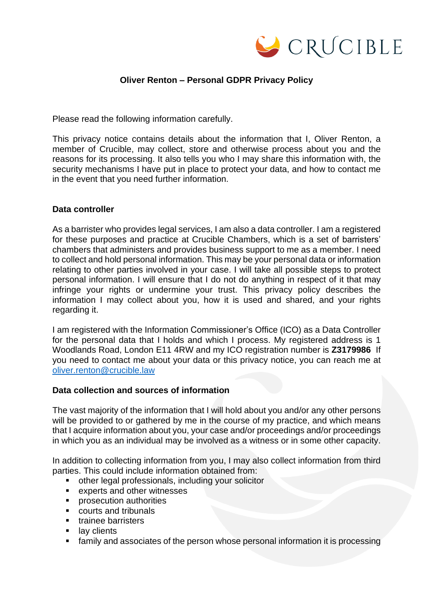

# **Oliver Renton – Personal GDPR Privacy Policy**

Please read the following information carefully.

This privacy notice contains details about the information that I, Oliver Renton, a member of Crucible, may collect, store and otherwise process about you and the reasons for its processing. It also tells you who I may share this information with, the security mechanisms I have put in place to protect your data, and how to contact me in the event that you need further information.

# **Data controller**

As a barrister who provides legal services, I am also a data controller. I am a registered for these purposes and practice at Crucible Chambers, which is a set of barristers' chambers that administers and provides business support to me as a member. I need to collect and hold personal information. This may be your personal data or information relating to other parties involved in your case. I will take all possible steps to protect personal information. I will ensure that I do not do anything in respect of it that may infringe your rights or undermine your trust. This privacy policy describes the information I may collect about you, how it is used and shared, and your rights regarding it.

I am registered with the Information Commissioner's Office (ICO) as a Data Controller for the personal data that I holds and which I process. My registered address is 1 Woodlands Road, London E11 4RW and my ICO registration number is **Z3179986** If you need to contact me about your data or this privacy notice, you can reach me at [oliver.renton@crucible.law](mailto:oliver.renton@crucible.law)

### **Data collection and sources of information**

The vast majority of the information that I will hold about you and/or any other persons will be provided to or gathered by me in the course of my practice, and which means that I acquire information about you, your case and/or proceedings and/or proceedings in which you as an individual may be involved as a witness or in some other capacity.

In addition to collecting information from you, I may also collect information from third parties. This could include information obtained from:

- other legal professionals, including your solicitor
- experts and other witnesses
- prosecution authorities
- courts and tribunals
- trainee barristers
- lay clients
- family and associates of the person whose personal information it is processing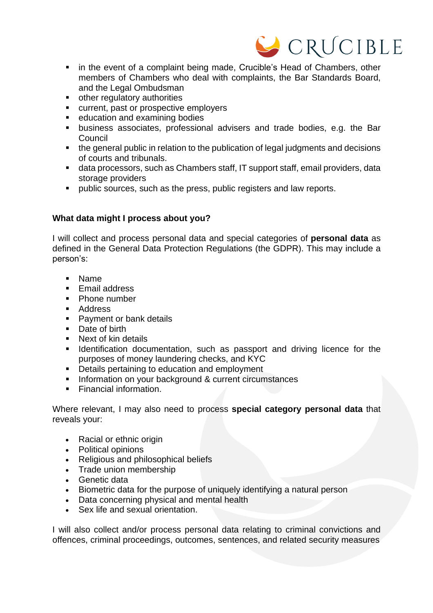

- in the event of a complaint being made, Crucible's Head of Chambers, other members of Chambers who deal with complaints, the Bar Standards Board, and the Legal Ombudsman
- other regulatory authorities
- current, past or prospective employers
- education and examining bodies
- business associates, professional advisers and trade bodies, e.g. the Bar Council
- the general public in relation to the publication of legal judgments and decisions of courts and tribunals.
- data processors, such as Chambers staff, IT support staff, email providers, data storage providers
- public sources, such as the press, public registers and law reports.

# **What data might I process about you?**

I will collect and process personal data and special categories of **personal data** as defined in the General Data Protection Regulations (the GDPR). This may include a person's:

- Name
- **Email address**
- Phone number
- Address
- Payment or bank details
- Date of birth<br>■ Next of kin de
- Next of kin details
- **EXECT** Identification documentation, such as passport and driving licence for the purposes of money laundering checks, and KYC
- Details pertaining to education and employment
- **EXECUTE:** Information on your background & current circumstances
- Financial information.

Where relevant, I may also need to process **special category personal data** that reveals your:

- Racial or ethnic origin
- Political opinions
- Religious and philosophical beliefs
- Trade union membership
- Genetic data
- Biometric data for the purpose of uniquely identifying a natural person
- Data concerning physical and mental health
- Sex life and sexual orientation.

I will also collect and/or process personal data relating to criminal convictions and offences, criminal proceedings, outcomes, sentences, and related security measures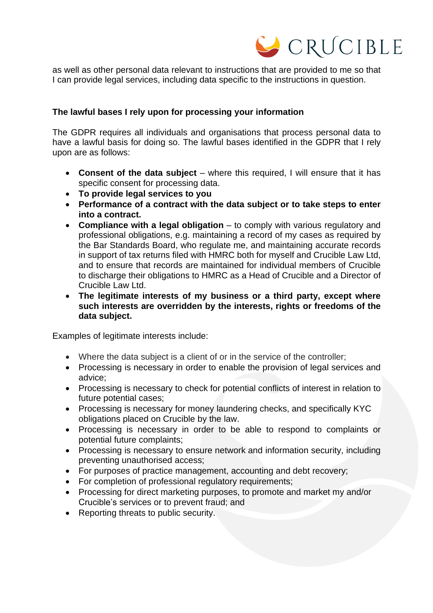

as well as other personal data relevant to instructions that are provided to me so that I can provide legal services, including data specific to the instructions in question.

# **The lawful bases I rely upon for processing your information**

The GDPR requires all individuals and organisations that process personal data to have a lawful basis for doing so. The lawful bases identified in the GDPR that I rely upon are as follows:

- **Consent of the data subject** where this required, I will ensure that it has specific consent for processing data.
- **To provide legal services to you**
- **Performance of a contract with the data subject or to take steps to enter into a contract.**
- **Compliance with a legal obligation** to comply with various regulatory and professional obligations, e.g. maintaining a record of my cases as required by the Bar Standards Board, who regulate me, and maintaining accurate records in support of tax returns filed with HMRC both for myself and Crucible Law Ltd, and to ensure that records are maintained for individual members of Crucible to discharge their obligations to HMRC as a Head of Crucible and a Director of Crucible Law Ltd.
- **The legitimate interests of my business or a third party, except where such interests are overridden by the interests, rights or freedoms of the data subject.**

Examples of legitimate interests include:

- Where the data subject is a client of or in the service of the controller;
- Processing is necessary in order to enable the provision of legal services and advice;
- Processing is necessary to check for potential conflicts of interest in relation to future potential cases;
- Processing is necessary for money laundering checks, and specifically KYC obligations placed on Crucible by the law.
- Processing is necessary in order to be able to respond to complaints or potential future complaints;
- Processing is necessary to ensure network and information security, including preventing unauthorised access;
- For purposes of practice management, accounting and debt recovery;
- For completion of professional regulatory requirements;
- Processing for direct marketing purposes, to promote and market my and/or Crucible's services or to prevent fraud; and
- Reporting threats to public security.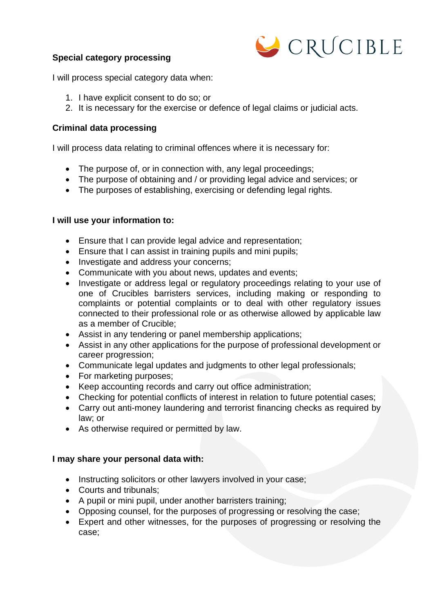# **Special category processing**



I will process special category data when:

- 1. I have explicit consent to do so; or
- 2. It is necessary for the exercise or defence of legal claims or judicial acts.

# **Criminal data processing**

I will process data relating to criminal offences where it is necessary for:

- The purpose of, or in connection with, any legal proceedings;
- The purpose of obtaining and / or providing legal advice and services; or
- The purposes of establishing, exercising or defending legal rights.

# **I will use your information to:**

- Ensure that I can provide legal advice and representation;
- Ensure that I can assist in training pupils and mini pupils;
- Investigate and address your concerns;
- Communicate with you about news, updates and events;
- Investigate or address legal or regulatory proceedings relating to your use of one of Crucibles barristers services, including making or responding to complaints or potential complaints or to deal with other regulatory issues connected to their professional role or as otherwise allowed by applicable law as a member of Crucible;
- Assist in any tendering or panel membership applications;
- Assist in any other applications for the purpose of professional development or career progression;
- Communicate legal updates and judgments to other legal professionals;
- For marketing purposes;
- Keep accounting records and carry out office administration;
- Checking for potential conflicts of interest in relation to future potential cases;
- Carry out anti-money laundering and terrorist financing checks as required by law; or
- As otherwise required or permitted by law.

### **I may share your personal data with:**

- Instructing solicitors or other lawyers involved in your case;
- Courts and tribunals;
- A pupil or mini pupil, under another barristers training;
- Opposing counsel, for the purposes of progressing or resolving the case;
- Expert and other witnesses, for the purposes of progressing or resolving the case;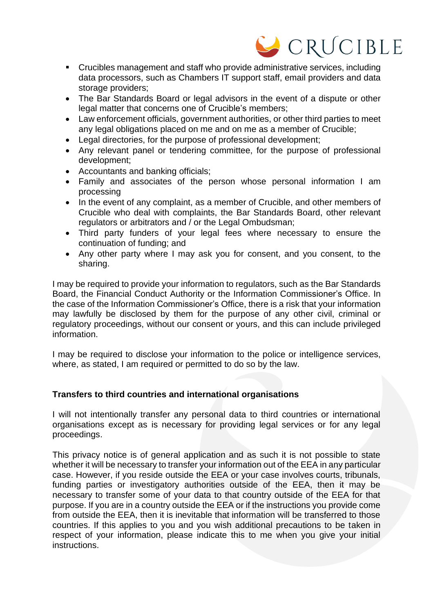# CRUCIBLE

- Crucibles management and staff who provide administrative services, including data processors, such as Chambers IT support staff, email providers and data storage providers;
- The Bar Standards Board or legal advisors in the event of a dispute or other legal matter that concerns one of Crucible's members;
- Law enforcement officials, government authorities, or other third parties to meet any legal obligations placed on me and on me as a member of Crucible;
- Legal directories, for the purpose of professional development;
- Any relevant panel or tendering committee, for the purpose of professional development;
- Accountants and banking officials;
- Family and associates of the person whose personal information I am processing
- In the event of any complaint, as a member of Crucible, and other members of Crucible who deal with complaints, the Bar Standards Board, other relevant regulators or arbitrators and / or the Legal Ombudsman;
- Third party funders of your legal fees where necessary to ensure the continuation of funding; and
- Any other party where I may ask you for consent, and you consent, to the sharing.

I may be required to provide your information to regulators, such as the Bar Standards Board, the Financial Conduct Authority or the Information Commissioner's Office. In the case of the Information Commissioner's Office, there is a risk that your information may lawfully be disclosed by them for the purpose of any other civil, criminal or regulatory proceedings, without our consent or yours, and this can include privileged information.

I may be required to disclose your information to the police or intelligence services, where, as stated, I am required or permitted to do so by the law.

# **Transfers to third countries and international organisations**

I will not intentionally transfer any personal data to third countries or international organisations except as is necessary for providing legal services or for any legal proceedings.

This privacy notice is of general application and as such it is not possible to state whether it will be necessary to transfer your information out of the EEA in any particular case. However, if you reside outside the EEA or your case involves courts, tribunals, funding parties or investigatory authorities outside of the EEA, then it may be necessary to transfer some of your data to that country outside of the EEA for that purpose. If you are in a country outside the EEA or if the instructions you provide come from outside the EEA, then it is inevitable that information will be transferred to those countries. If this applies to you and you wish additional precautions to be taken in respect of your information, please indicate this to me when you give your initial instructions.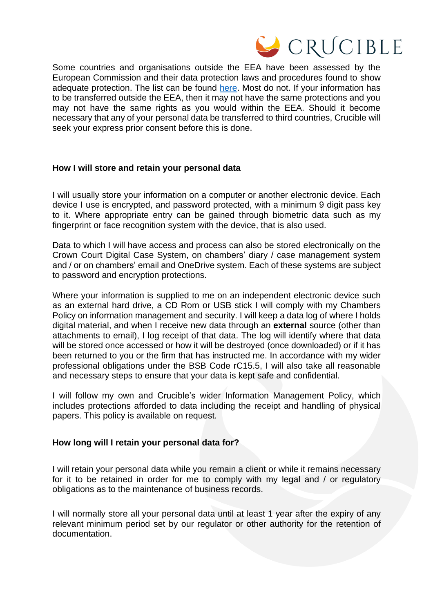

Some countries and organisations outside the EEA have been assessed by the European Commission and their data protection laws and procedures found to show adequate protection. The list can be found [here.](https://ec.europa.eu/info/law/law-topic/data-protection/data-transfers-outside-eu/adequacy-protection-personal-data-non-eu-countries_en#dataprotectionincountriesoutsidetheeu) Most do not. If your information has to be transferred outside the EEA, then it may not have the same protections and you may not have the same rights as you would within the EEA. Should it become necessary that any of your personal data be transferred to third countries, Crucible will seek your express prior consent before this is done.

# **How I will store and retain your personal data**

I will usually store your information on a computer or another electronic device. Each device I use is encrypted, and password protected, with a minimum 9 digit pass key to it. Where appropriate entry can be gained through biometric data such as my fingerprint or face recognition system with the device, that is also used.

Data to which I will have access and process can also be stored electronically on the Crown Court Digital Case System, on chambers' diary / case management system and / or on chambers' email and OneDrive system. Each of these systems are subject to password and encryption protections.

Where your information is supplied to me on an independent electronic device such as an external hard drive, a CD Rom or USB stick I will comply with my Chambers Policy on information management and security. I will keep a data log of where I holds digital material, and when I receive new data through an **external** source (other than attachments to email), I log receipt of that data. The log will identify where that data will be stored once accessed or how it will be destroyed (once downloaded) or if it has been returned to you or the firm that has instructed me. In accordance with my wider professional obligations under the BSB Code rC15.5, I will also take all reasonable and necessary steps to ensure that your data is kept safe and confidential.

I will follow my own and Crucible's wider Information Management Policy, which includes protections afforded to data including the receipt and handling of physical papers. This policy is available on request.

### **How long will I retain your personal data for?**

I will retain your personal data while you remain a client or while it remains necessary for it to be retained in order for me to comply with my legal and / or regulatory obligations as to the maintenance of business records.

I will normally store all your personal data until at least 1 year after the expiry of any relevant minimum period set by our regulator or other authority for the retention of documentation.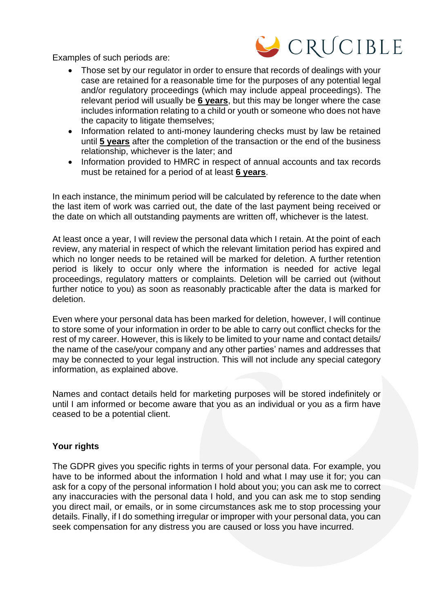Examples of such periods are:



- Those set by our regulator in order to ensure that records of dealings with your case are retained for a reasonable time for the purposes of any potential legal and/or regulatory proceedings (which may include appeal proceedings). The relevant period will usually be **6 years**, but this may be longer where the case includes information relating to a child or youth or someone who does not have the capacity to litigate themselves;
- Information related to anti-money laundering checks must by law be retained until **5 years** after the completion of the transaction or the end of the business relationship, whichever is the later; and
- Information provided to HMRC in respect of annual accounts and tax records must be retained for a period of at least **6 years**.

In each instance, the minimum period will be calculated by reference to the date when the last item of work was carried out, the date of the last payment being received or the date on which all outstanding payments are written off, whichever is the latest.

At least once a year, I will review the personal data which I retain. At the point of each review, any material in respect of which the relevant limitation period has expired and which no longer needs to be retained will be marked for deletion. A further retention period is likely to occur only where the information is needed for active legal proceedings, regulatory matters or complaints. Deletion will be carried out (without further notice to you) as soon as reasonably practicable after the data is marked for deletion.

Even where your personal data has been marked for deletion, however, I will continue to store some of your information in order to be able to carry out conflict checks for the rest of my career. However, this is likely to be limited to your name and contact details/ the name of the case/your company and any other parties' names and addresses that may be connected to your legal instruction. This will not include any special category information, as explained above.

Names and contact details held for marketing purposes will be stored indefinitely or until I am informed or become aware that you as an individual or you as a firm have ceased to be a potential client.

# **Your rights**

The GDPR gives you specific rights in terms of your personal data. For example, you have to be informed about the information I hold and what I may use it for; you can ask for a copy of the personal information I hold about you; you can ask me to correct any inaccuracies with the personal data I hold, and you can ask me to stop sending you direct mail, or emails, or in some circumstances ask me to stop processing your details. Finally, if I do something irregular or improper with your personal data, you can seek compensation for any distress you are caused or loss you have incurred.